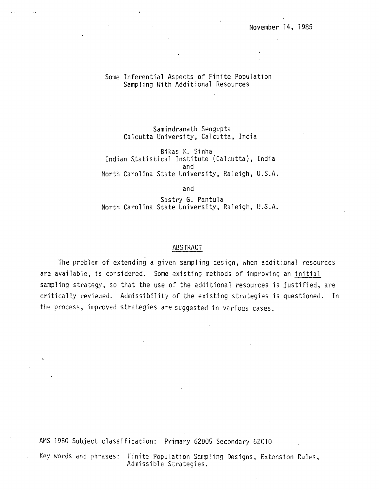# Some Inferential Aspects of Finite Population Sampling With Additional Resources

Samindranath Sengupta Calcutta University, Calcutta, India

Bikas K. Sinha Indian Statistical Institute (Calcutta), India and North Carolina State University, Raleigh, U.S.A.

and

Sastry G. Pantula North Carolina State University, Raleigh, U.S.A.

## ABSTRACT

The problem of extending a given sampling design, when additional resources are available, is considered. Some existing methods of improving an initial sampling strategy, so that the use of the additional resources is justified, are critically reviewed. Admissibility of the existing strategies is questioned. In the process, improved strategies are suggested in various cases.

AMS 1980 Subject classification: Primary 62005 Secondary 62Cl0

 $\mathbf{r}$ 

Key words and phrases: Finite Population Sampling Designs, Extension Rules, Admissible Strategies.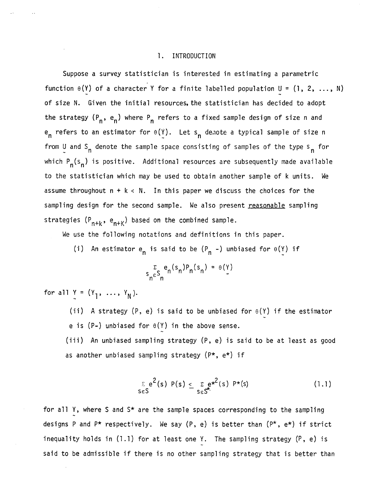## 1. INTRODUCTION

Suppose a survey statistician is interested in estimating a parametric function  $\theta(Y)$  of a character Y for a finite labelled population U = (1, 2, ..., N) of size N. Given the initial resources, the statistician has decided to adopt the strategy  $(P_n, e_n)$  where  $P_n$  refers to a fixed sample design of size n and  $e_n$  refers to an estimator for  $\theta(Y)$ . Let s<sub>n</sub> denote a typical sample of size n from U and S<sub>n</sub> denote the sample space consisting of samples of the type s<sub>n</sub> for which  $P_n(s_n)$  is positive. Additional resources are subsequently made available to the statistician which may be used to obtain another sample of k units. We assume throughout  $n + k < N$ . In this paper we discuss the choices for the sampling design for the second sample. We also present reasonable sampling strategies (P<sub>n+k</sub>, e<sub>n+K</sub>) based on the combined sample.

We use the following notations and definitions in this paper.

(i) An estimator  $e_n$  is said to be  $(P_n -)$  unbiased for  $\theta(Y)$  if

$$
S_{n}^{\Sigma}S_{n}^{e_{n}(S_{n})P_{n}(S_{n})} = \theta(Y)
$$

for all  $Y = (Y_1, ..., Y_N)$ .

(ii) A strategy (P, e) is said to be unbiased for  $\theta(Y)$  if the estimator e is (P-) unbiased for  $\theta(Y)$  in the above sense.

(iii) An unbiased sampling strategy (P, e) is said to be at least as good as another unbiased sampling strategy (P\*, e\*) if

$$
\sum_{S \in S} e^{2}(s) P(s) \leq \sum_{S \in S^*} e^{x^2}(s) P^{*}(s)
$$
 (1.1)

for all Y, where S and  $S*$  are the sample spaces corresponding to the sampling designs P and  $P*$  respectively. We say  $(P, e)$  is better than  $(P*, e*)$  if strict inequality holds in (1.1) for at least one Y. The sampling strategy (P, e) is said to be admissible if there is no other sampling strategy that is better than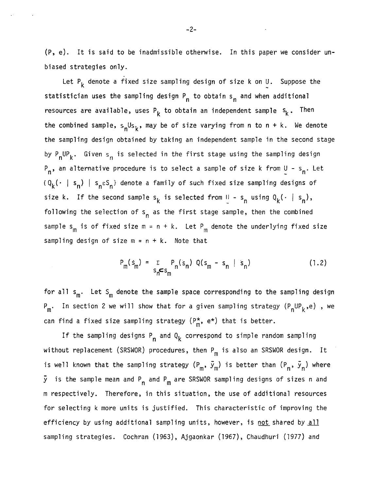(p, e). It is said to be inadmissible otherwise. In this paper we consider unbiased strategies only.

Let  $P_k$  denote a fixed size sampling design of size k on U. Suppose the statistician uses the sampling design P<sub>n</sub> to obtain s<sub>n</sub> and when additional resources are available, uses P<sub>k</sub> to obtain an independent sample  $s_k$ . Then the combined sample,  $s_n U s_k$ , may be of size varying from n to n + k. We denote the sampling design obtained by taking an independent sample in the second stage by  $P_nUP_k$ . Given s<sub>n</sub> is selected in the first stage using the sampling design P<sub>n</sub>, an alternative procedure is to select a sample of size k from U - s<sub>n</sub>. Let  ${Q_k(\cdot | s_n)}$  |  ${s_n \epsilon s_n}$  denote a family of such fixed size sampling designs of size k. If the second sample  $s_k$  is selected from  $\mathbb{I}$  -  $s_n$  using  $Q_k(\cdot \mid s_n)$ , following the selection of  $s_n$  as the first stage sample, then the combined sample s<sub>m</sub> is of fixed size  $m = n + k$ . Let P<sub>m</sub> denote the underlying fixed size sampling design of size  $m = n + k$ . Note that

$$
P_m(s_m) = \sum_{s_n \le s_m} P_n(s_n) Q(s_m - s_n \mid s_n)
$$
 (1.2)

for all  $s_m$ . Let  $s_m$  denote the sample space corresponding to the sampling design  $P_m$ . In section 2 we will show that for a given sampling strategy ( $P_nUP_k$ ,e), we can find a fixed size sampling strategy  $(P_m^*, e^*)$  that is better.

If the sampling designs  $P_{\textbf{n}}$  and  $Q_{\textbf{k}}$  correspond to simple random sampling without replacement (SRSWOR) procedures, then  $P_m$  is also an SRSWOR design. It is well known that the sampling strategy  $(\mathtt{P}_\mathsf{m},\ \vec{\mathsf{y}}_\mathsf{m})$  is better than  $(\mathtt{P}_\mathsf{n},\ \vec{\mathsf{y}}_\mathsf{n})$  where  $\bar{\mathsf{y}}$  is the sample mean and P<sub>n</sub> and P<sub>m</sub> are SRSWOR sampling designs of sizes n and m respectively. Therefore, in this situation, the use of additional resources for selecting k more units is justified. This characteristic of improving the efficiency by using additional sampling units, however, is not shared by all sampling strategies. Cochran (1963), Ajgaonkar (1967), Chaudhuri (1977) and

-2-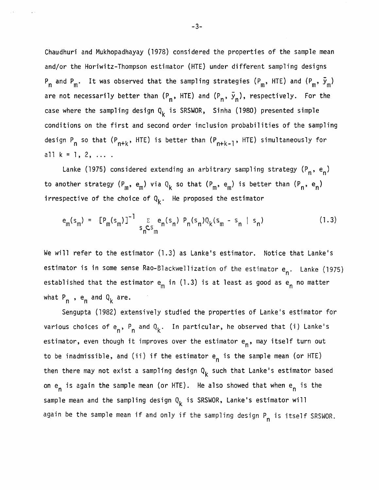Chaudhuri and Mukhopadhayay (1978) considered the properties of the sample mean and/or the Horiwitz-Thompson estimator (HTE) under different sampling designs  $P_n$  and  $P_m$ . It was observed that the sampling strategies ( $P_m$ , HTE) and ( $P_m$ ,  $\bar{y}_m$ ) are not necessarily better than  $(P_n, HTE)$  and  $(P_n, \bar{y}_n)$ , respectively. For the case where the sampling design  $Q_k$  is SRSWOR, Sinha (1980) presented simple conditions on the first and second order inclusion probabilities of the sampling design P<sub>n</sub> so that (P<sub>n+k</sub>, HTE) is better than (P<sub>n+k-1</sub>, HTE) simultaneously for all  $k = 1, 2, ...$ 

Lanke (1975) considered extending an arbitrary sampling strategy (P<sub>n</sub>, e<sub>n</sub>) to another strategy  $(P_m, e_m)$  via  $Q_k$  so that  $(P_m, e_m)$  is better than  $(P_n, e_n)$ irrespective of the choice of  $Q_k$ . He proposed the estimator

$$
e_{m}(s_{m}) = [P_{m}(s_{m})]^{-1} \sum_{s_{n} \in S_{m}} e_{n}(s_{n}) P_{n}(s_{n}) Q_{k}(s_{m} - s_{n} | s_{n})
$$
(1.3)

We will refer to the estimator (1.3) as Lanke's estimator. Notice that Lanke's estimator is in some sense Rao-Blackwellization of the estimator  $e_n$ . Lanke (1975) established that the estimator  $e_m$  in (1.3) is at least as good as  $e_n$  no matter what  $P_n$ ,  $e_n$  and  $Q_k$  are.

Sengupta (1982) extensively studied the properties of Lanke's estimator for various choices of e<sub>n</sub>, P<sub>n</sub> and Q<sub>k</sub>. In particular, he observed that (i) Lanke's estimator, even though it improves over the estimator e<sub>n</sub>, may itself turn out to be inadmissible, and (ii) if the estimator  $e_n$  is the sample mean (or HTE) then there may not exist a sampling design  $Q_k$  such that Lanke's estimator based on  $e_n$  is again the sample mean (or HTE). He also showed that when  $e_n$  is the sample mean and the sampling design  $Q_k$  is SRSWOR, Lanke's estimator will again be the sample mean if and only if the sampling design P<sub>n</sub> is itself SRSWOR.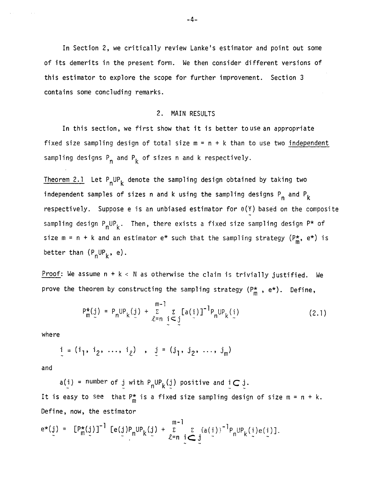In Section 2, we critically review Lanke's estimator and point out some of its demerits in the present form. We then consider different versions of this estimator to explore the scope for further improvement. Section 3 contains some concluding remarks.

# 2. MAIN RESULTS

In this section, we first show that it is better touse an appropriate fixed size sampling design of total size  $m = n + k$  than to use two independent sampling designs P<sub>n</sub> and P<sub>k</sub> of sizes n and k respectively.

Theorem 2.1 Let  $P_nUP_k$  denote the sampling design obtained by taking two independent samples of sizes n and k using the sampling designs  $P_n$  and  $P_k$ respectively. Suppose e is an unbiased estimator for  $\theta(Y)$  based on the composite sampling design  $P_nUP_k$ . Then, there exists a fixed size sampling design  $P^*$  of size m = n + k and an estimator e\* such that the sampling strategy  $(P_m^*, e^*)$  is better than  $(P_nUP_k, e)$ .

Proof: We assume  $n + k < N$  as otherwise the claim is trivially justified. We prove the theorem by constructing the sampling strategy  $(P_m^*$ ,  $e^*)$ . Define,

$$
P_{m}^{*}(j) = P_{n}UP_{k}(j) + \sum_{\ell=n}^{m-1} \sum_{j \leq j} [a(j)]^{-1} P_{n}UP_{k}(i)
$$
 (2.1)

where

$$
i = (i_1, i_2, ..., i_\ell), j = (j_1, j_2, ..., j_m)
$$

and

 $a(i)$  = number of j with  $P_nUP_k(j)$  positive and  $i\subset j$ . It is easy to see that  $P_m^*$  is a fixed size sampling design of size m = n + k. Define, now, the estimator

$$
e^{\star}(j) = [P_m^{\star}(j)]^{-1} [e(j)P_nUP_k(j) + \sum_{\ell=n}^{m-1} \sum_{i \subset j} \{a(i)\}^{-1}P_nUP_k(i)e(i)].
$$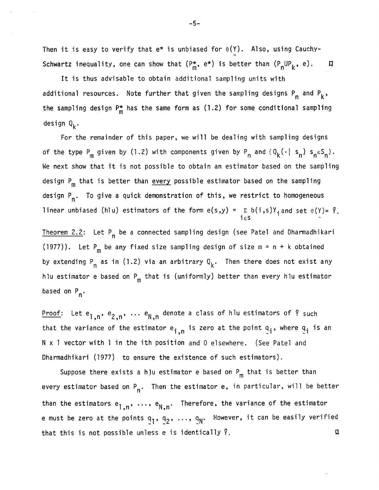Then it is easy to verify that  $e^*$  is unbiased for  $\theta(Y)$ . Also, using Cauchy-Schwartz inequality, one can show that  $(P_m^{\star}, e^{\star})$  is better than  $(P_nUP_k, e)$ .  $\Box$ 

It is thus advisable to obtain additional sampling units with additional resources. Note further that given the sampling designs P<sub>n</sub> and P<sub>k</sub>, the sampling design  $P_m^*$  has the same form as (1.2) for some conditional sampling design  $Q_k$ .

For the remainder of this paper, we will be dealing with sampling designs of the type P<sub>m</sub> given by (1.2) with components given by P<sub>n</sub> and  $\{Q_k(\cdot | s_n) s_n \epsilon S_n\}$ . We next show that it is not possible to obtain an estimator based on the sampling design P<sub>m</sub> that is better than every possible estimator based on the sampling design P<sub>n</sub>. To give a quick demonstration of this, we restrict to homogeneous linear unbiased (hlu) estimators of the form  $e(s,y) = \sum b(i,s)Y_i$  and set  $\theta(Y) = \overline{Y}.$  $i\,\varepsilon$ s

Theorem 2.2: Let P n be a connected sampling design (see Patel and Dharmadhikari (1977)). Let  $P_m$  be any fixed size sampling design of size  $m = n + k$  obtained by extending P<sub>n</sub> as in (1.2) via an arbitrary  $Q^{\phantom{\dagger}}_{{\bf k}}.$  Then there does not exist any hlu estimator e based on  $P_m$  that is (uniformly) better than every hlu estimator based on P<sub>n</sub>.

Proof: Let  $e_{1,n}$ ,  $e_{2,n}$ ,  $\cdots$   $e_{\mathsf{N},n}$  denote a class of hlu estimators of  $\bar{\mathsf{Y}}$  such that the variance of the estimator e<sub>i,n</sub> is zero at the point q<sub>i</sub>, where q<sub>i</sub> is an<br>N x 1 vector with 1 in the ith position and 0 elsewhere. (See Patel and  $N \times 1$  vector with 1 in the ith position and 0 elsewhere. (See Patel and Dharmadhikari (1977) to ensure the existence of such estimators).

than the estimators  $\mathsf{e}_{1,\mathsf{n}},\ \ldots,\ \mathsf{e}_{\mathsf{N},\mathsf{n}}.$  Therefore, the variance of the estimator Suppose there exists a h]u estimator e based on  $P_m$  that is better than every estimator based on P<sub>n</sub>. Then the estimator e, in particular, will be better e must be zero at the points  $q_1$ ,  $q_2$ , ...,  $q_N$ . However, it can be easily verified that this is not possible unless e is identically  $\bar{Y}$ .

-5-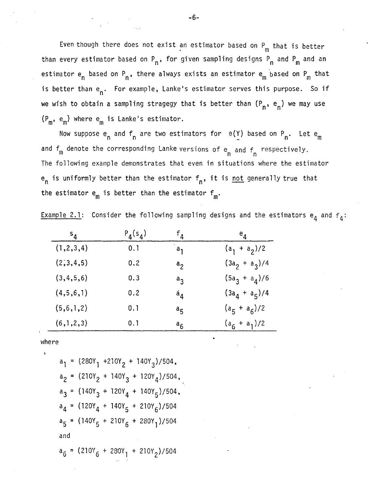Even though there does not exist an estimator based on  $P_m$  that is better than every estimator based on P<sub>n</sub>, for given sampling designs P<sub>n</sub> and P<sub>m</sub> and an estimator e<sub>n</sub> based on P<sub>n</sub>, there always exists an estimator e<sub>m</sub> based on P<sub>m</sub> that is better than e<sub>n</sub>. For example, Lanke's estimator serves this purpose. So if we wish to obtain a sampling stragegy that is better than  $(P_n, e_n)$  we may use  $(P_m, e_m)$  where  $e_m$  is Lanke's estimator.

Now suppose  $e_n$  and  $f_n$  are two estimators for  $\theta(Y)$  based on P<sub>n</sub>. Let  $e_m$ and  $f_m$  denote the corresponding Lanke versions of  $e_n$  and  $f_n$  respectively. The following example demonstrates that even in situations where the estimator  ${\sf e}_{{\sf n}}$  is uniformly better than the estimator  ${\sf f}_{{\sf n}}$ , it is <u>not</u> generally true that the estimator  $\mathsf{e}_{\mathsf{m}}$  is better than the estimator  $\mathsf{f}_{\mathsf{m}}.$ 

| <u>Example 2.1</u> : Consider the following sampling designs and the estimators $\mathsf{e}_{\mathsf{4}}$ and $\mathsf{f}_{\mathsf{4}}$ : |  |  |  |  |  |  |  |  |  |  |  |  |
|-------------------------------------------------------------------------------------------------------------------------------------------|--|--|--|--|--|--|--|--|--|--|--|--|
|-------------------------------------------------------------------------------------------------------------------------------------------|--|--|--|--|--|--|--|--|--|--|--|--|

| $S_{4}$      | $P_4(s_4)$ | $\mathsf{f}_\mathtt{A}$ | $e_{\mathbf{A}}$ |
|--------------|------------|-------------------------|------------------|
| (1, 2, 3, 4) | 0.1        | $a_1$                   | $(a_1 + a_2)/2$  |
| (2,3,4,5)    | 0.2        | a <sub>2</sub>          | $(3a_2 + a_3)/4$ |
| (3,4,5,6)    | 0.3        | $a_{2}$                 | $(5a_3 + a_4)/6$ |
| (4,5,6,1)    | 0.2        | $a_{\Delta}$            | $(3a_4 + a_5)/4$ |
| (5,6,1,2)    | 0.1        | $a_{\mathsf{K}}$        | $(a_5 + a_6)/2$  |
| (6,1,2,3)    | 0.1        | $a_{6}$                 | $(a_6 + a_1)/2$  |

where

 $a_1$  = (280Y<sub>1</sub> +210Y<sub>2</sub> + 140Y<sub>3</sub>)/504,  $a_2$  = (210Y<sub>2</sub> + 140Y<sub>3</sub> + 120Y<sub>4</sub>)/504,  $a_3$  = (140Y<sub>3</sub> + 120Y<sub>4</sub> + 140Y<sub>5</sub>)/504,  $a_4 = (120Y_4 + 140Y_5 + 210Y_6)/504$  $a_5 = (140Y_5 + 210Y_6 + 280Y_1)/504$ and $a_6 = (210Y_6 + 280Y_1 + 210Y_2)/504$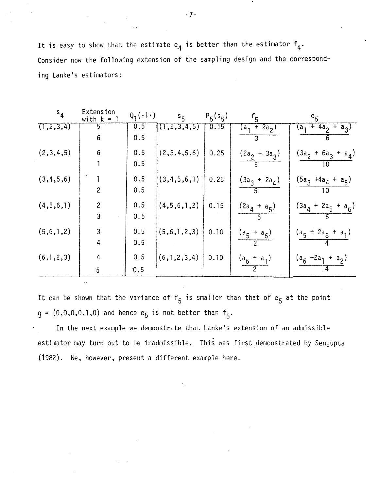It is easy to show that the estimate  $e_4$  is better than the estimator  $f_4$ . Consider now the following extension of the sampling design and the corresponding Lanke's estimators:

| s <sub>4</sub> | Extension<br>with k<br>$=$ 1 | $Q_1(\cdot1\cdot)$ | $s_{5}$         | $P_5(s_5)$ | $f_{5}$                             | e <sub>5</sub>              |
|----------------|------------------------------|--------------------|-----------------|------------|-------------------------------------|-----------------------------|
| (1, 2, 3, 4)   | 5<br>6                       | 0.5<br>0.5         | (1, 2, 3, 4, 5) | 0.15       | $\overline{2a}_2$ )<br>$+$<br>$a_1$ | $(a_1 + 4a_2 + a_3)$<br>h   |
| (2,3,4,5)      | 6                            | 0.5<br>0.5         | (2,3,4,5,6)     | 0.25       | $(2a_2 + 3a_3)$                     | $(3a_2 + 6a_3 + a_4)$<br>10 |
| (3, 4, 5, 6)   | $\overline{c}$               | 0.5<br>0.5         | (3,4,5,6,1)     | 0.25       | $(3a_3 + 2a_4)$                     | $(5a_3 + 4a_4 + a_5)$<br>10 |
| (4,5,6,1)      | $\overline{c}$<br>3          | 0.5<br>0.5         | (4,5,6,1,2)     | 0.15       | $(2a_4 + a_5)$                      | $(3a_4 + 2a_5 + a_6)$       |
| (5,6,1,2)      | 3<br>4                       | 0.5<br>0.5         | (5,6,1,2,3)     | 0.10       | $(a_5 + a_6)$                       | $(a_5 + 2a_6 + a_1)$        |
| (6,1,2,3)      | 4<br>$\overline{5}$          | 0.5<br>0.5         | (6,1,2,3,4)     | 0.10       | $(a_6 + a_1)$                       | $(a_6 + 2a_1 + a_2)$        |

It can be shown that the variance of  $f_5$  is smaller than that of  $e_5$  at the point  $q = (0,0,0,0,1,0)$  and hence e<sub>5</sub> is not better than  $f_5$ .

In the next example we demonstrate that Lanke's extension of an admissible estimator may turn out to be inadmissible. This was first demonstrated by Sengupta (1982). We, however, present a different example here.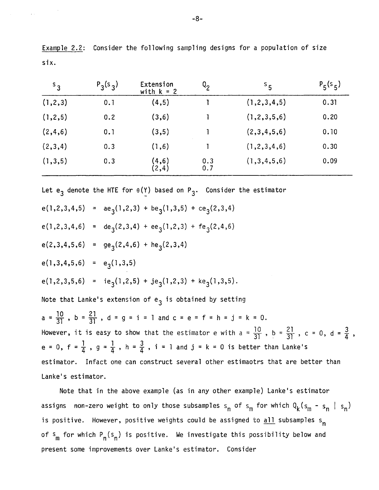| $S_{3}$   | $P_3(s_3)$ | Extension<br>with $k = 2$ | $Q_{2}$    | $^{\mathsf{S}}$ 5 | $P_5(s_5)$ |  |
|-----------|------------|---------------------------|------------|-------------------|------------|--|
| (1,2,3)   | 0.1        | (4,5)                     |            | (1,2,3,4,5)       | 0.31       |  |
| (1, 2, 5) | 0.2        | (3, 6)                    |            | (1, 2, 3, 5, 6)   | 0.20       |  |
| (2, 4, 6) | 0.1        | (3,5)                     |            | (2,3,4,5,6)       | 0.10       |  |
| (2,3,4)   | 0.3        | (1,6)                     |            | (1, 2, 3, 4, 6)   | 0.30       |  |
| (1, 3, 5) | 0.3        | (4,6)<br>(2,4)            | 0.3<br>0.7 | (1,3,4,5,6)       | 0.09       |  |

Example 2.2: Consider the following sampling designs for a population of size six.

Let e<sub>3</sub> denote the HTE for  $\theta(Y)$  based on P<sub>3</sub>. Consider the estimator e(1,2,3,4,5) =  $ae_{3}(1,2,3) + be_{3}(1,3,5) + ce_{3}(2,3,4)$  $e(1,2,3,4,6) = de_3(2,3,4) + ee_3(1,2,3) + fe_3(2,4,6)$  $e(2,3,4,5,6) = ge_3(2,4,6) + he_3(2,3,4)$  $e(1,3,4,5,6) = e_3(1,3,5)$ e(1,2,3,5,6) = ie<sub>3</sub>(1,2,5) + je<sub>3</sub>(1,2,3) + ke<sub>3</sub>(1,3,5). Note that Lanke's extension of  $e_3$  is obtained by setting  $a = \frac{10}{31}$ ,  $b = \frac{21}{31}$ ,  $d = g = i = 1$  and  $c = e = f = h = j = k = 0$ . However, it is easy to show that the estimator e with  $a = \frac{10}{31}$ ,  $b = \frac{21}{31}$ ,  $c = 0$ ,  $d = \frac{3}{4}$ , e = 0, f =  $\frac{1}{4}$ , g =  $\frac{1}{4}$ , h =  $\frac{3}{4}$ , i = 1 and j = k = 0 is better than Lanke's estimator. Infact one can construct several other estimaotrs that are better than Lanke's estimator.

Note that in the above example (as in any other example) Lanke's estimator assigns non-zero weight to only those subsamples s<sub>n</sub> of s<sub>m</sub> for which  $Q_k(s_m - s_n | s_n)$ is positive. However, positive weights could be assigned to  $\frac{all}{all}$  subsamples s<sub>n</sub> of  $s_m$  for which  $P_n(s_n)$  is positive. We investigate this possibility below and present some improvements over Lanke's estimator. Consider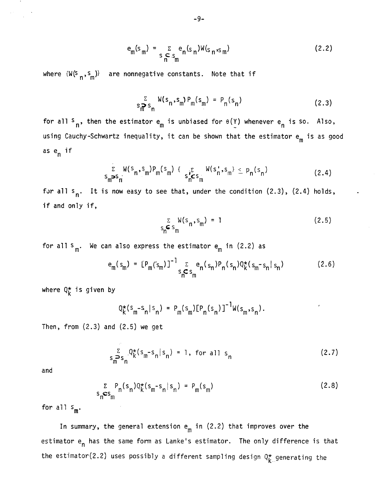$$
e_m(s_m) = \sum_{S \atop S \atop n \to m} e_n(s_n)W(s_n, s_m)
$$
 (2.2)

where  $\{W(S_n, s_m)\}$  are nonnegative constants. Note that if

$$
s_m^{\sum_{m} S_m} W(s_n, s_m) P_m(s_m) = P_n(s_n)
$$
 (2.3)

for all  $s_n$ , then the estimator  $e_m$  is unbiased for  $e(Y)$  whenever  $e_n$  is so. Also, using Cauchy-Schwartz inequality, it can be shown that the estimator  $e_m$  is as good as en if

$$
\sum_{\mathbf{S}_{\mathbf{m}}\boldsymbol{\mathbf{S}}_{\mathbf{n}}} W(\mathbf{S}_{\mathbf{n}}, \mathbf{S}_{\mathbf{m}}) P_{\mathbf{m}}(\mathbf{S}_{\mathbf{m}}) \left\{ \mathbf{S}_{\mathbf{n}} \boldsymbol{\mathbf{C}}_{\mathbf{S}_{\mathbf{m}}} W(\mathbf{S}_{\mathbf{n}}, \mathbf{S}_{\mathbf{m}}) \leq P_{\mathbf{n}}(\mathbf{S}_{\mathbf{n}}) \right\} \tag{2.4}
$$

for all  $s_n$ . It is now easy to see that, under the condition (2.3), (2.4) holds, if and only if,

$$
\sum_{S_{\mathsf{n}} \subset S_{\mathsf{m}}} W(s_{\mathsf{n}}, s_{\mathsf{m}}) = 1 \tag{2.5}
$$

for all  $s_m$ . We can also express the estimator  $e_m$  in (2.2) as

$$
e_{m}(s_{m}) = [P_{m}(s_{m})]^{-1} \sum_{s_{n} \subset s_{m}} e_{n}(s_{n}) P_{n}(s_{n}) Q_{k}^{*}(s_{m} - s_{n} | s_{n})
$$
 (2.6)

where  $Q_K^{\star}$  is given by

$$
Q_K^*(s_m - s_n | s_n) = P_m(s_m) [P_n(s_n)]^{-1} W(s_m, s_n).
$$

Then, from (2.3) and (2.5) we get

$$
\sum_{\substack{s \to s_n \\ m \to n}} Q_k^*(s_m - s_n | s_n) = 1, \text{ for all } s_n
$$
 (2.7)

and

$$
\sum_{s_n \in s_m} P_n(s_n) Q_k^*(s_m - s_n | s_n) = P_m(s_m)
$$
 (2.8)

for all  $s_m$ .

In summary, the general extension  $e_m$  in (2.2) that improves over the estimator e<sub>n</sub> has the same form as Lanke's estimator. The only difference is that the estimator(2.2) uses possibly a different sampling design  $Q_{K}^{\star}$  generating the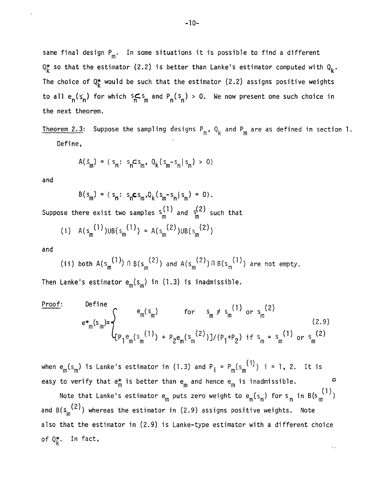same final design  $P_m$ . In some situations it is possible to find a different  $Q_K^*$  so that the estimator (2.2) is better than Lanke's estimator computed with  $Q_K$ . The choice of  $Q_k^*$  would be such that the estimator (2.2) assigns positive weights to all  $e_n(s_n)$  for which  $s_n \leq s_m$  and  $P_n(s_n) > 0$ . We now present one such choice in the next theorem.

<u>Theorem 2.3</u>: Suppose the sampling designs  $\mathsf{P}_{\mathsf{n}}$ ,  $\mathsf{Q}_{\mathsf{k}}$  and  $\mathsf{P}_{\mathsf{m}}$  are as defined in section 1. Define,

$$
A(\hat{s}_{m}) = \{ s_{n}: s_{n} c s_{m}, Q_{k}(s_{m} - s_{n} | s_{n}) > 0 \}
$$

and

$$
B(s_m) = \{ s_n : s_n \in s_m, Q_k(s_m - s_n | s_n) = 0 \}.
$$
  
there exist two samples  $s^{(1)}$  and  $s^{(2)}$  such t

Suppose there exist two samples  $s_h^{11}$  and  $s_h^{12}$  such that

(i) 
$$
A(s_m^{(1)})UB(s_m^{(1)}) = A(s_m^{(2)})UB(s_m^{(2)})
$$

and

(ii) both 
$$
A(s_m^{(1)}) \cap B(s_m^{(2)})
$$
 and  $A(s_m^{(2)}) \cap B(s_m^{(1)})$  are not empty.

Then Lanke's estimator  $e_m(s_m)$  in (1.3) is inadmissible.

Proof:  
\n
$$
e^{*}_{m}(s_{m}) = \begin{cases} e_{m}(s_{m}) & \text{for } s_{m} \neq s_{m}^{(1)} \text{ or } s_{m}^{(2)} \\ [1mm] \{P_{1}e_{m}(s_{m}^{(1)}) + P_{2}e_{m}(s_{m}^{(2)})\}/(P_{1}+P_{2}) & \text{if } s_{m} = s_{m}^{(1)} \text{ or } s_{m}^{(2)} \end{cases}
$$
\n(2.9)

when  $e_m(s_m)$  is Lanke's estimator in (1.3) and  $P_i = P_m(s_m^{(i)})$  i = 1, 2. It is easy to verify that  $e_m^*$  is better than  $e_m$  and hence  $e_m$  is inadmissible.

o

Note that Lanke's estimator  $e_m$  puts zero weight to  $e_n(s_n)$  for  $s_n$  in B(s $\frac{(1)}{m}$ ) and  $B(s_m^{(2)})$  whereas the estimator in (2.9) assigns positive weights. Note also that the estimator in (2.9) is Lanke-type estimator with a different choice of  $Q_{L}^{\star}$ . In fact,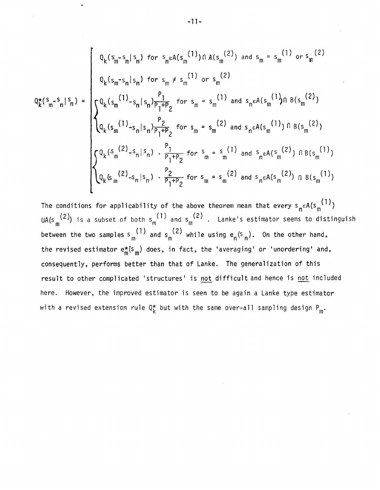$$
Q_{k}^{*}(s_{m}-s_{n}|s_{n}) = \begin{cases} Q_{k}(s_{m}-s_{n}|s_{n}) & \text{for } s_{n} \in A(s_{m}^{(1)}) \cap A(s_{m}^{(2)}) \text{ and } s_{m} = s_{m}^{(1)} \text{ or } s_{m}^{(2)} \\ Q_{k}(s_{m}-s_{n}|s_{n}) & \text{for } s_{m} \neq s_{m}^{(1)} \text{ or } s_{m}^{(2)} \\ Q_{k}(s_{m}^{(1)}-s_{n}|s_{n})\frac{P_{1}}{P_{1}+P_{2}} & \text{for } s_{m} = s_{m}^{(1)} \text{ and } s_{n} \in A(s_{m}^{(1)}) \cap B(s_{m}^{(2)}) \\ Q_{k}(s_{m}^{(1)}-s_{n}|s_{n})\frac{P_{2}}{P_{1}+P_{2}} & \text{for } s_{m} = s_{m}^{(2)} \text{ and } s_{n} \in A(s_{m}^{(1)}) \cap B(s_{m}^{(2)}) \\ Q_{k}(s_{m}^{(2)}-s_{n}|s_{n}) \cdot \frac{P_{1}}{P_{1}+P_{2}} & \text{for } s_{m} = s_{m}^{(1)} \text{ and } s_{n} \in A(s_{m}^{(2)}) \cap B(s_{m}^{(1)}) \\ Q_{k}(s_{m}^{(2)}-s_{n}|s_{n}) \cdot \frac{P_{2}}{P_{1}+P_{2}} & \text{for } s_{m} = s_{m}^{(2)} \text{ and } s_{n} \in A(s_{m}^{(2)}) \cap B(s_{m}^{(1)}) \end{cases}
$$

The conditions for applicability of the above theorem mean that every  $s_n \in A(s_m^{(1)})$ UA(s<sub>m</sub><sup>(2)</sup>) is a subset of both s<sub>m</sub><sup>(1)</sup> and s<sub>m</sub><sup>(2)</sup>. Lanke's estimator seems to distinguish between the two samples  $s_m^{(1)}$  and  $s_m^{(2)}$  while using  $e_n^{(s_n)}$ . On the other hand, the revised estimator  $e_m^*(s_m)$  does, in fact, the 'averaging' or 'unordering' and, consequently, performs better than that of Lanke. The generalization of this result to other complicated 'structures' is not difficult and hence is not included here. However, the improved estimator is seen to be again a Lanke type estimator with a revised extension rule  $Q_k^*$  but with the same over-all sampling design  $P_m^*$ .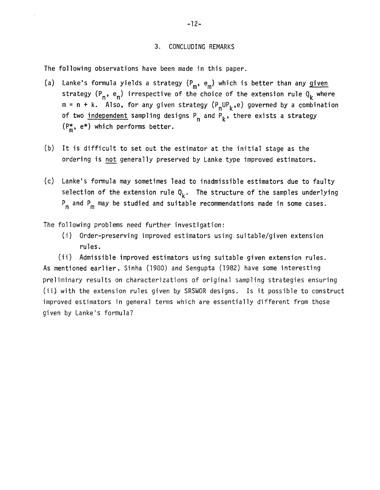#### 3. CONCLUDING REMARKS

The following observations have been made in this paper.

- (a) Lanke's formula yields a strategy  $(P_m, e_m)$  which is better than any given strategy ( $P_n$ ,  $e_n$ ) irrespective of the choice of the extension rule  $Q_k$  where  $m = n + k$ . Also, for any given strategy  $(P_nUP_k,e)$  governed by a combination of two <u>independent</u> sampling designs P<sub>n</sub> and P<sub>k</sub>, there exists a strategy  $(P_m^{\star}, e^{\star})$  which performs better.
- (b) It is difficult to set out the estimator at the initial stage as the ordering is not generally preserved by Lanke type improved estimators.
- (c) Lanke's formula may sometimes lead to inadmissible estimators due to faulty selection of the extension rule  $Q_k$ . The structure of the samples underlying  $P_n$  and  $P_m$  may be studied and suitable recommendations made in some cases.

The following problems need further investigation:

(i) Order-preserving improved estimators using suitable/given extension rules.

(ii) Admissible improved estimators using suitable given extension rules. As mentioned earlier, Sinha (1980) and Sengupta (1982) have some interesting preliminary results on characterizations of original sampling strategies ensuring (ii} with the extension rules given by SRSWOR designs. Is it possible to construct improved estimators in general terms which are essentially different from those given by Lanke's formula?